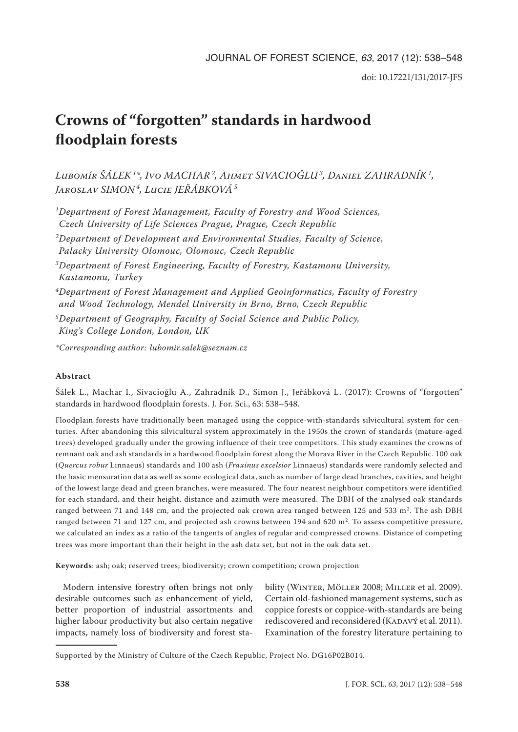# **Crowns of "forgotten" standards in hardwood floodplain forests**

*Lubomír ŠÁLEK1\*, Ivo MACHAR2, Ahmet SIVACIOĞLU3, Daniel ZAHRADNÍK1, Jaroslav SIMON4, Lucie JEŘÁBKOVÁ5*

*1Department of Forest Management, Faculty of Forestry and Wood Sciences, Czech University of Life Sciences Prague, Prague, Czech Republic*

*2Department of Development and Environmental Studies, Faculty of Science, Palacky University Olomouc, Olomouc, Czech Republic*

*3Department of Forest Engineering, Faculty of Forestry, Kastamonu University, Kastamonu, Turkey*

*4Department of Forest Management and Applied Geoinformatics, Faculty of Forestry and Wood Technology, Mendel University in Brno, Brno, Czech Republic 5Department of Geography, Faculty of Social Science and Public Policy,* 

*King's College London, London, UK*

*\*Corresponding author: lubomir.salek@seznam.cz*

## **Abstract**

Šálek L., Machar I., Sivacioğlu A., Zahradník D., Simon J., Jeřábková L. (2017): Crowns of "forgotten" standards in hardwood floodplain forests. J. For. Sci., 63: 538–548.

Floodplain forests have traditionally been managed using the coppice-with-standards silvicultural system for centuries. After abandoning this silvicultural system approximately in the 1950s the crown of standards (mature-aged trees) developed gradually under the growing influence of their tree competitors. This study examines the crowns of remnant oak and ash standards in a hardwood floodplain forest along the Morava River in the Czech Republic. 100 oak (*Quercus robur* Linnaeus) standards and 100 ash (*Fraxinus excelsior* Linnaeus) standards were randomly selected and the basic mensuration data as well as some ecological data, such as number of large dead branches, cavities, and height of the lowest large dead and green branches, were measured. The four nearest neighbour competitors were identified for each standard, and their height, distance and azimuth were measured. The DBH of the analysed oak standards ranged between 71 and 148 cm, and the projected oak crown area ranged between 125 and 533  $m^2$ . The ash DBH ranged between 71 and 127 cm, and projected ash crowns between 194 and 620 m<sup>2</sup>. To assess competitive pressure, we calculated an index as a ratio of the tangents of angles of regular and compressed crowns. Distance of competing trees was more important than their height in the ash data set, but not in the oak data set.

**Keywords**: ash; oak; reserved trees; biodiversity; crown competition; crown projection

Modern intensive forestry often brings not only desirable outcomes such as enhancement of yield, better proportion of industrial assortments and higher labour productivity but also certain negative impacts, namely loss of biodiversity and forest stability (Winter, Möller 2008; Miller et al. 2009). Certain old-fashioned management systems, such as coppice forests or coppice-with-standards are being rediscovered and reconsidered (KADAVÝ et al. 2011). Examination of the forestry literature pertaining to

Supported by the Ministry of Culture of the Czech Republic, Project No. DG16P02B014.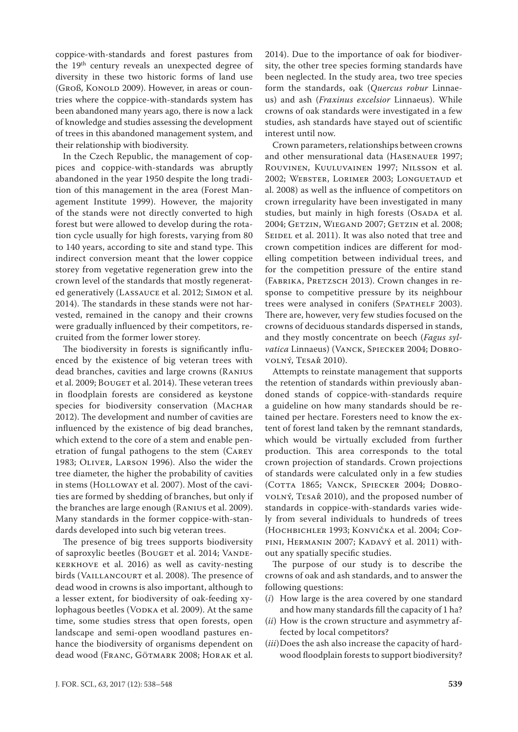coppice-with-standards and forest pastures from the 19<sup>th</sup> century reveals an unexpected degree of diversity in these two historic forms of land use (GROß, KONOLD 2009). However, in areas or countries where the coppice-with-standards system has been abandoned many years ago, there is now a lack of knowledge and studies assessing the development of trees in this abandoned management system, and their relationship with biodiversity.

In the Czech Republic, the management of coppices and coppice-with-standards was abruptly abandoned in the year 1950 despite the long tradition of this management in the area (Forest Management Institute 1999). However, the majority of the stands were not directly converted to high forest but were allowed to develop during the rotation cycle usually for high forests, varying from 80 to 140 years, according to site and stand type. This indirect conversion meant that the lower coppice storey from vegetative regeneration grew into the crown level of the standards that mostly regenerated generatively (Lassauce et al. 2012; Simon et al. 2014). The standards in these stands were not harvested, remained in the canopy and their crowns were gradually influenced by their competitors, recruited from the former lower storey.

The biodiversity in forests is significantly influenced by the existence of big veteran trees with dead branches, cavities and large crowns (Ranius et al. 2009; BOUGET et al. 2014). These veteran trees in floodplain forests are considered as keystone species for biodiversity conservation (Machar 2012). The development and number of cavities are influenced by the existence of big dead branches, which extend to the core of a stem and enable penetration of fungal pathogens to the stem (Carey 1983; Oliver, Larson 1996). Also the wider the tree diameter, the higher the probability of cavities in stems (HOLLOWAY et al. 2007). Most of the cavities are formed by shedding of branches, but only if the branches are large enough (Ranius et al. 2009). Many standards in the former coppice-with-standards developed into such big veteran trees.

The presence of big trees supports biodiversity of saproxylic beetles (BOUGET et al. 2014; VANDEkerkhove et al. 2016) as well as cavity-nesting birds (VAILLANCOURT et al. 2008). The presence of dead wood in crowns is also important, although to a lesser extent, for biodiversity of oak-feeding xylophagous beetles (VODKA et al. 2009). At the same time, some studies stress that open forests, open landscape and semi-open woodland pastures enhance the biodiversity of organisms dependent on dead wood (FRANC, GÖTMARK 2008; HORAK et al. 2014). Due to the importance of oak for biodiversity, the other tree species forming standards have been neglected. In the study area, two tree species form the standards, oak (*Quercus robur* Linnaeus) and ash (*Fraxinus excelsior* Linnaeus). While crowns of oak standards were investigated in a few studies, ash standards have stayed out of scientific interest until now.

Crown parameters, relationships between crowns and other mensurational data (Hasenauer 1997; Rouvinen, Kuuluvainen 1997; Nilsson et al. 2002; Webster, Lorimer 2003; Longuetaud et al. 2008) as well as the influence of competitors on crown irregularity have been investigated in many studies, but mainly in high forests (OSADA et al. 2004; GETZIN, WIEGAND 2007; GETZIN et al. 2008; SEIDEL et al. 2011). It was also noted that tree and crown competition indices are different for modelling competition between individual trees, and for the competition pressure of the entire stand (FABRIKA, PRETZSCH 2013). Crown changes in response to competitive pressure by its neighbour trees were analysed in conifers (SPATHELF 2003). There are, however, very few studies focused on the crowns of deciduous standards dispersed in stands, and they mostly concentrate on beech (*Fagus sylvatica* Linnaeus) (Vanck, Spiecker 2004; Dobrovolný, Tesař 2010).

Attempts to reinstate management that supports the retention of standards within previously abandoned stands of coppice-with-standards require a guideline on how many standards should be retained per hectare. Foresters need to know the extent of forest land taken by the remnant standards, which would be virtually excluded from further production. This area corresponds to the total crown projection of standards. Crown projections of standards were calculated only in a few studies (Cotta 1865; Vanck, Spiecker 2004; Dobrovolný, Tesař 2010), and the proposed number of standards in coppice-with-standards varies widely from several individuals to hundreds of trees (Hochbichler 1993; Konvička et al. 2004; Coppini, Hermanin 2007; Kadavý et al. 2011) without any spatially specific studies.

The purpose of our study is to describe the crowns of oak and ash standards, and to answer the following questions:

- (*i*) How large is the area covered by one standard and how many standards fill the capacity of 1 ha?
- (*ii*) How is the crown structure and asymmetry affected by local competitors?
- (*iii*) Does the ash also increase the capacity of hardwood floodplain forests to support biodiversity?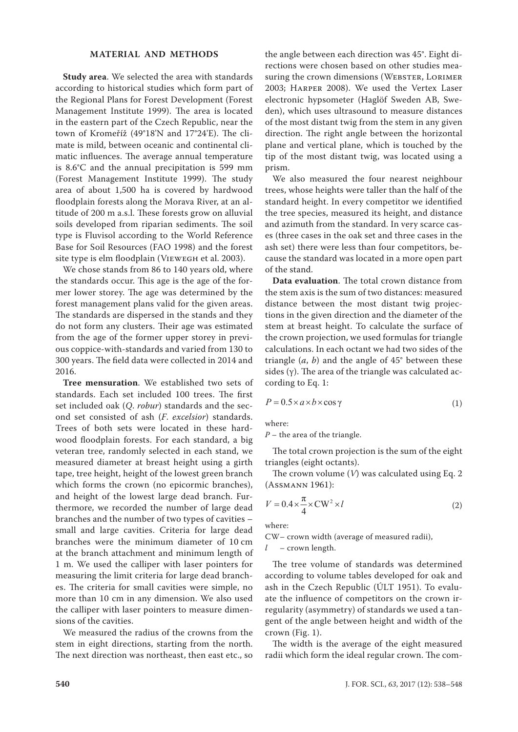### **MATERIAL AND METHODS**

**Study area**. We selected the area with standards according to historical studies which form part of the Regional Plans for Forest Development (Forest Management Institute 1999). The area is located in the eastern part of the Czech Republic, near the town of Kromeříž (49°18'N and 17°24'E). The climate is mild, between oceanic and continental climatic influences. The average annual temperature is 8.6°C and the annual precipitation is 599 mm (Forest Management Institute 1999). The study area of about 1,500 ha is covered by hardwood floodplain forests along the Morava River, at an altitude of 200 m a.s.l. These forests grow on alluvial soils developed from riparian sediments. The soil type is Fluvisol according to the World Reference Base for Soil Resources (FAO 1998) and the forest site type is elm floodplain (Viewegh et al. 2003).

We chose stands from 86 to 140 years old, where the standards occur. This age is the age of the former lower storey. The age was determined by the forest management plans valid for the given areas. The standards are dispersed in the stands and they do not form any clusters. Their age was estimated from the age of the former upper storey in previous coppice-with-standards and varied from 130 to 300 years. The field data were collected in 2014 and 2016.

**Tree mensuration**. We established two sets of standards. Each set included 100 trees. The first set included oak (*Q*. *robur*) standards and the second set consisted of ash (*F*. *excelsior*) standards. Trees of both sets were located in these hardwood floodplain forests. For each standard, a big veteran tree, randomly selected in each stand, we measured diameter at breast height using a girth tape, tree height, height of the lowest green branch which forms the crown (no epicormic branches), and height of the lowest large dead branch. Furthermore, we recorded the number of large dead branches and the number of two types of cavities – small and large cavities. Criteria for large dead branches were the minimum diameter of 10 cm at the branch attachment and minimum length of 1 m. We used the calliper with laser pointers for measuring the limit criteria for large dead branches. The criteria for small cavities were simple, no more than 10 cm in any dimension. We also used the calliper with laser pointers to measure dimensions of the cavities.

We measured the radius of the crowns from the stem in eight directions, starting from the north. The next direction was northeast, then east etc., so

the angle between each direction was 45°. Eight directions were chosen based on other studies measuring the crown dimensions (WEBSTER, LORIMER 2003; Harper 2008). We used the Vertex Laser electronic hypsometer (Haglöf Sweden AB, Sweden), which uses ultrasound to measure distances of the most distant twig from the stem in any given direction. The right angle between the horizontal plane and vertical plane, which is touched by the tip of the most distant twig, was located using a prism.

We also measured the four nearest neighbour trees, whose heights were taller than the half of the standard height. In every competitor we identified the tree species, measured its height, and distance and azimuth from the standard. In very scarce cases (three cases in the oak set and three cases in the ash set) there were less than four competitors, because the standard was located in a more open part of the stand.

**Data evaluation**. The total crown distance from the stem axis is the sum of two distances: measured distance between the most distant twig projections in the given direction and the diameter of the stem at breast height. To calculate the surface of the crown projection, we used formulas for triangle calculations. In each octant we had two sides of the triangle  $(a, b)$  and the angle of  $45^{\circ}$  between these sides ( $\gamma$ ). The area of the triangle was calculated according to Eq. 1:

$$
P = 0.5 \times a \times b \times \cos \gamma \tag{1}
$$

where:

*P* – the area of the triangle.

The total crown projection is the sum of the eight triangles (eight octants).

The crown volume (*V*) was calculated using Eq. 2 (Assmann 1961):

$$
V = 0.4 \times \frac{\pi}{4} \times \text{CW}^2 \times l \tag{2}
$$

where:

CW– crown width (average of measured radii),

*l* – crown length.

The tree volume of standards was determined according to volume tables developed for oak and ash in the Czech Republic (ÚLT 1951). To evaluate the influence of competitors on the crown irregularity (asymmetry) of standards we used a tangent of the angle between height and width of the crown (Fig. 1).

The width is the average of the eight measured radii which form the ideal regular crown. The com-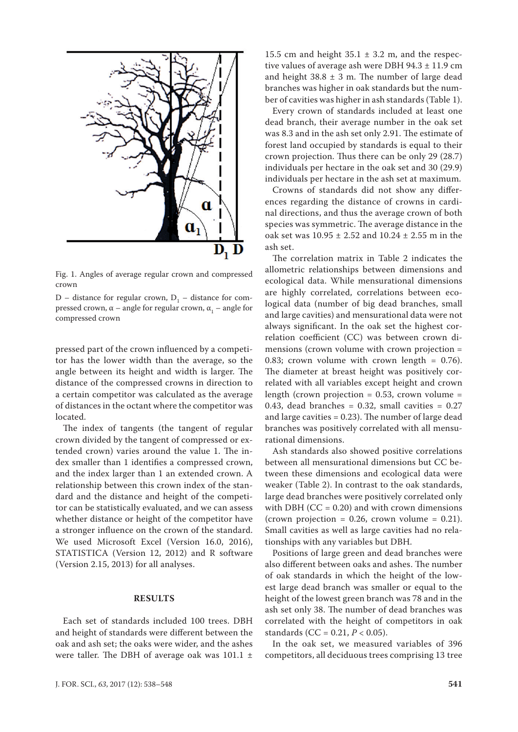

Fig. 1. Angles of average regular crown and compressed crown

 $D$  – distance for regular crown,  $D_1$  – distance for compressed crown, α – angle for regular crown,  $α_1$  – angle for compressed crown

pressed part of the crown influenced by a competitor has the lower width than the average, so the angle between its height and width is larger. The distance of the compressed crowns in direction to a certain competitor was calculated as the average of distances in the octant where the competitor was located.

The index of tangents (the tangent of regular crown divided by the tangent of compressed or extended crown) varies around the value 1. The index smaller than 1 identifies a compressed crown, and the index larger than 1 an extended crown. A relationship between this crown index of the standard and the distance and height of the competitor can be statistically evaluated, and we can assess whether distance or height of the competitor have a stronger influence on the crown of the standard. We used Microsoft Excel (Version 16.0, 2016), STATISTICA (Version 12, 2012) and R software (Version 2.15, 2013) for all analyses.

#### **RESULTS**

Each set of standards included 100 trees. DBH and height of standards were different between the oak and ash set; the oaks were wider, and the ashes were taller. The DBH of average oak was  $101.1 \pm$ 

15.5 cm and height  $35.1 \pm 3.2$  m, and the respective values of average ash were DBH 94.3  $\pm$  11.9 cm and height  $38.8 \pm 3$  m. The number of large dead branches was higher in oak standards but the number of cavities was higher in ash standards (Table 1).

Every crown of standards included at least one dead branch, their average number in the oak set was 8.3 and in the ash set only 2.91. The estimate of forest land occupied by standards is equal to their crown projection. Thus there can be only 29 (28.7) individuals per hectare in the oak set and 30 (29.9) individuals per hectare in the ash set at maximum.

Crowns of standards did not show any differences regarding the distance of crowns in cardinal directions, and thus the average crown of both species was symmetric. The average distance in the oak set was 10.95 ± 2.52 and 10.24 ± 2.55 m in the ash set.

The correlation matrix in Table 2 indicates the allometric relationships between dimensions and ecological data. While mensurational dimensions are highly correlated, correlations between ecological data (number of big dead branches, small and large cavities) and mensurational data were not always significant. In the oak set the highest correlation coefficient (CC) was between crown dimensions (crown volume with crown projection = 0.83; crown volume with crown length  $= 0.76$ ). The diameter at breast height was positively correlated with all variables except height and crown length (crown projection =  $0.53$ , crown volume = 0.43, dead branches =  $0.32$ , small cavities =  $0.27$ and large cavities  $= 0.23$ ). The number of large dead branches was positively correlated with all mensurational dimensions.

Ash standards also showed positive correlations between all mensurational dimensions but CC between these dimensions and ecological data were weaker (Table 2). In contrast to the oak standards, large dead branches were positively correlated only with DBH ( $CC = 0.20$ ) and with crown dimensions (crown projection = 0.26, crown volume = 0.21). Small cavities as well as large cavities had no relationships with any variables but DBH.

Positions of large green and dead branches were also different between oaks and ashes. The number of oak standards in which the height of the lowest large dead branch was smaller or equal to the height of the lowest green branch was 78 and in the ash set only 38. The number of dead branches was correlated with the height of competitors in oak standards (CC = 0.21, *P* < 0.05).

In the oak set, we measured variables of 396 competitors, all deciduous trees comprising 13 tree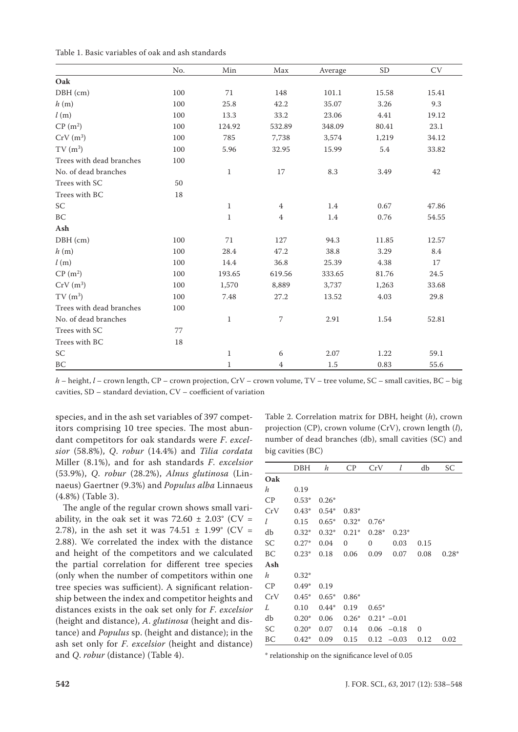|                          | No. | Min          | Max            | Average | <b>SD</b> | <b>CV</b> |
|--------------------------|-----|--------------|----------------|---------|-----------|-----------|
| Oak                      |     |              |                |         |           |           |
| DBH (cm)                 | 100 | 71           | 148            | 101.1   | 15.58     | 15.41     |
| h(m)                     | 100 | 25.8         | 42.2           | 35.07   | 3.26      | 9.3       |
| l(m)                     | 100 | 13.3         | 33.2           | 23.06   | 4.41      | 19.12     |
| CP(m <sup>2</sup> )      | 100 | 124.92       | 532.89         | 348.09  | 80.41     | 23.1      |
| $CrV(m^3)$               | 100 | 785          | 7,738          | 3,574   | 1,219     | 34.12     |
| $TV(m^3)$                | 100 | 5.96         | 32.95          | 15.99   | 5.4       | 33.82     |
| Trees with dead branches | 100 |              |                |         |           |           |
| No. of dead branches     |     | $\mathbf{1}$ | 17             | 8.3     | 3.49      | 42        |
| Trees with SC            | 50  |              |                |         |           |           |
| Trees with BC            | 18  |              |                |         |           |           |
| SC                       |     | $\mathbf{1}$ | $\overline{4}$ | 1.4     | 0.67      | 47.86     |
| BC                       |     | $\mathbf{1}$ | $\overline{4}$ | 1.4     | 0.76      | 54.55     |
| Ash                      |     |              |                |         |           |           |
| DBH (cm)                 | 100 | 71           | 127            | 94.3    | 11.85     | 12.57     |
| h(m)                     | 100 | 28.4         | 47.2           | 38.8    | 3.29      | 8.4       |
| l(m)                     | 100 | 14.4         | 36.8           | 25.39   | 4.38      | 17        |
| CP(m <sup>2</sup> )      | 100 | 193.65       | 619.56         | 333.65  | 81.76     | 24.5      |
| $CrV(m^3)$               | 100 | 1,570        | 8,889          | 3,737   | 1,263     | 33.68     |
| $TV(m^3)$                | 100 | 7.48         | 27.2           | 13.52   | 4.03      | 29.8      |
| Trees with dead branches | 100 |              |                |         |           |           |
| No. of dead branches     |     | 1            | $\overline{7}$ | 2.91    | 1.54      | 52.81     |
| Trees with SC            | 77  |              |                |         |           |           |
| Trees with BC            | 18  |              |                |         |           |           |
| SC                       |     | $\mathbf{1}$ | 6              | 2.07    | 1.22      | 59.1      |
| BC                       |     | $\mathbf{1}$ | $\overline{4}$ | 1.5     | 0.83      | 55.6      |

*h* – height, *l* – crown length, CP – crown projection, CrV – crown volume, TV – tree volume, SC – small cavities, BC – big cavities, SD – standard deviation, CV – coefficient of variation

species, and in the ash set variables of 397 competitors comprising 10 tree species. The most abundant competitors for oak standards were *F*. *excelsior* (58.8%), *Q*. *robur* (14.4%) and *Tilia cordata* Miller (8.1%), and for ash standards *F*. *excelsior* (53.9%), *Q*. *robur* (28.2%), *Alnus glutinosa* (Linnaeus) Gaertner (9.3%) and *Populus alba* Linnaeus (4.8%) (Table 3).

The angle of the regular crown shows small variability, in the oak set it was  $72.60 \pm 2.03$ ° (CV = 2.78), in the ash set it was 74.51  $\pm$  1.99° (CV = 2.88). We correlated the index with the distance and height of the competitors and we calculated the partial correlation for different tree species (only when the number of competitors within one tree species was sufficient). A significant relationship between the index and competitor heights and distances exists in the oak set only for *F*. *excelsior* (height and distance), *A*. *glutinosa* (height and distance) and *Populus* sp. (height and distance); in the ash set only for *F*. *excelsior* (height and distance) and *Q*. *robur* (distance) (Table 4).

Table 2. Correlation matrix for DBH, height (*h*), crown projection (CP), crown volume (CrV), crown length (*l*), number of dead branches (db), small cavities (SC) and big cavities (BC)

|                        | DBH     | h       | $\mathsf{C}\mathsf{P}$ | CrV             | l       | db       | SC      |
|------------------------|---------|---------|------------------------|-----------------|---------|----------|---------|
| Oak                    |         |         |                        |                 |         |          |         |
| h                      | 0.19    |         |                        |                 |         |          |         |
| $\mathsf{C}\mathsf{P}$ | $0.53*$ | $0.26*$ |                        |                 |         |          |         |
| CrV                    | $0.43*$ | $0.54*$ | $0.83*$                |                 |         |          |         |
| l                      | 0.15    | $0.65*$ | $0.32*$                | $0.76*$         |         |          |         |
| db                     | $0.32*$ | $0.32*$ | $0.21*$                | $0.28*$         | $0.23*$ |          |         |
| SC                     | $0.27*$ | 0.04    | $\mathbf{0}$           | 0               | 0.03    | 0.15     |         |
| ВC                     | $0.23*$ | 0.18    | 0.06                   | 0.09            | 0.07    | 0.08     | $0.28*$ |
| Ash                    |         |         |                        |                 |         |          |         |
| h                      | $0.32*$ |         |                        |                 |         |          |         |
| $\mathbb{C}P$          | $0.49*$ | 0.19    |                        |                 |         |          |         |
| CrV                    | $0.45*$ | $0.65*$ | $0.86*$                |                 |         |          |         |
| L                      | 0.10    | $0.44*$ | 0.19                   | $0.65*$         |         |          |         |
| db                     | $0.20*$ | 0.06    | $0.26*$                | $0.21^* - 0.01$ |         |          |         |
| SС                     | $0.20*$ | 0.07    | 0.14                   | 0.06            | $-0.18$ | $\Omega$ |         |
| ВC                     | $0.42*$ | 0.09    | 0.15                   | 0.12            | $-0.03$ | 0.12     | 0.02    |

\* relationship on the significance level of 0.05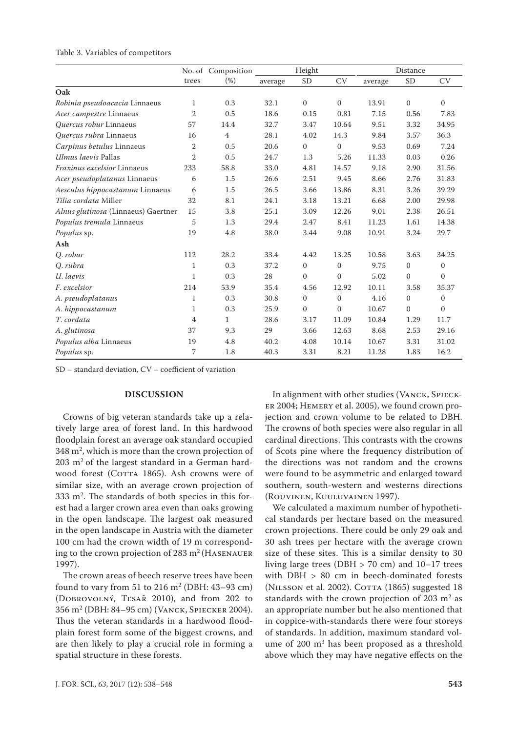#### Table 3. Variables of competitors

|                                     |                | No. of Composition | Height  |                | Distance         |         |                  |              |
|-------------------------------------|----------------|--------------------|---------|----------------|------------------|---------|------------------|--------------|
|                                     | trees          | (% )               | average | <b>SD</b>      | <b>CV</b>        | average | <b>SD</b>        | <b>CV</b>    |
| Oak                                 |                |                    |         |                |                  |         |                  |              |
| Robinia pseudoacacia Linnaeus       | 1              | 0.3                | 32.1    | $\mathbf{0}$   | $\boldsymbol{0}$ | 13.91   | $\boldsymbol{0}$ | $\mathbf{0}$ |
| Acer campestre Linnaeus             | $\overline{2}$ | 0.5                | 18.6    | 0.15           | 0.81             | 7.15    | 0.56             | 7.83         |
| Quercus robur Linnaeus              | 57             | 14.4               | 32.7    | 3.47           | 10.64            | 9.51    | 3.32             | 34.95        |
| Quercus rubra Linnaeus              | 16             | $\overline{4}$     | 28.1    | 4.02           | 14.3             | 9.84    | 3.57             | 36.3         |
| Carpinus betulus Linnaeus           | $\overline{2}$ | 0.5                | 20.6    | $\overline{0}$ | $\boldsymbol{0}$ | 9.53    | 0.69             | 7.24         |
| Ulmus laevis Pallas                 | $\overline{2}$ | 0.5                | 24.7    | 1.3            | 5.26             | 11.33   | 0.03             | 0.26         |
| <i>Fraxinus excelsior Linnaeus</i>  | 233            | 58.8               | 33.0    | 4.81           | 14.57            | 9.18    | 2.90             | 31.56        |
| Acer pseudoplatanus Linnaeus        | 6              | 1.5                | 26.6    | 2.51           | 9.45             | 8.66    | 2.76             | 31.83        |
| Aesculus hippocastanum Linnaeus     | 6              | 1.5                | 26.5    | 3.66           | 13.86            | 8.31    | 3.26             | 39.29        |
| Tilia cordata Miller                | 32             | 8.1                | 24.1    | 3.18           | 13.21            | 6.68    | 2.00             | 29.98        |
| Alnus glutinosa (Linnaeus) Gaertner | 15             | 3.8                | 25.1    | 3.09           | 12.26            | 9.01    | 2.38             | 26.51        |
| Populus tremula Linnaeus            | 5              | 1.3                | 29.4    | 2.47           | 8.41             | 11.23   | 1.61             | 14.38        |
| Populus sp.                         | 19             | 4.8                | 38.0    | 3.44           | 9.08             | 10.91   | 3.24             | 29.7         |
| Ash                                 |                |                    |         |                |                  |         |                  |              |
| Q. robur                            | 112            | 28.2               | 33.4    | 4.42           | 13.25            | 10.58   | 3.63             | 34.25        |
| Q. rubra                            | $\mathbf{1}$   | 0.3                | 37.2    | $\mathbf{0}$   | $\mathbf{0}$     | 9.75    | $\mathbf{0}$     | $\mathbf{0}$ |
| U. laevis                           | 1              | 0.3                | 28      | $\mathbf{0}$   | $\mathbf{0}$     | 5.02    | $\theta$         | $\mathbf{0}$ |
| F. excelsior                        | 214            | 53.9               | 35.4    | 4.56           | 12.92            | 10.11   | 3.58             | 35.37        |
| A. pseudoplatanus                   | 1              | 0.3                | 30.8    | $\mathbf{0}$   | $\mathbf{0}$     | 4.16    | $\mathbf{0}$     | $\mathbf{0}$ |
| A. hippocastanum                    | $\mathbf{1}$   | 0.3                | 25.9    | $\mathbf{0}$   | $\mathbf{0}$     | 10.67   | $\overline{0}$   | $\mathbf{0}$ |
| T. cordata                          | 4              | $\mathbf{1}$       | 28.6    | 3.17           | 11.09            | 10.84   | 1.29             | 11.7         |
| A. glutinosa                        | 37             | 9.3                | 29      | 3.66           | 12.63            | 8.68    | 2.53             | 29.16        |
| Populus alba Linnaeus               | 19             | 4.8                | 40.2    | 4.08           | 10.14            | 10.67   | 3.31             | 31.02        |
| Populus sp.                         | 7              | 1.8                | 40.3    | 3.31           | 8.21             | 11.28   | 1.83             | 16.2         |

SD – standard deviation, CV – coefficient of variation

#### **DISCUSSION**

Crowns of big veteran standards take up a relatively large area of forest land. In this hardwood floodplain forest an average oak standard occupied  $348 \text{ m}^2$ , which is more than the crown projection of  $203$  m<sup>2</sup> of the largest standard in a German hardwood forest (COTTA 1865). Ash crowns were of similar size, with an average crown projection of  $333 \text{ m}^2$ . The standards of both species in this forest had a larger crown area even than oaks growing in the open landscape. The largest oak measured in the open landscape in Austria with the diameter 100 cm had the crown width of 19 m corresponding to the crown projection of 283  $m<sup>2</sup>$  (HASENAUER 1997).

The crown areas of beech reserve trees have been found to vary from 51 to 216  $\mathrm{m}^2$  (DBH: 43–93 cm) (Dobrovolný, Tesař 2010), and from 202 to 356 m<sup>2</sup> (DBH: 84–95 cm) (Vanck, Spiecker 2004). Thus the veteran standards in a hardwood floodplain forest form some of the biggest crowns, and are then likely to play a crucial role in forming a spatial structure in these forests.

In alignment with other studies (Vanck, Spiecker 2004; Hemery et al. 2005), we found crown projection and crown volume to be related to DBH. The crowns of both species were also regular in all cardinal directions. This contrasts with the crowns of Scots pine where the frequency distribution of the directions was not random and the crowns were found to be asymmetric and enlarged toward southern, south-western and westerns directions (Rouvinen, Kuuluvainen 1997).

We calculated a maximum number of hypothetical standards per hectare based on the measured crown projections. There could be only 29 oak and 30 ash trees per hectare with the average crown size of these sites. This is a similar density to 30 living large trees (DBH > 70 cm) and 10–17 trees with DBH > 80 cm in beech-dominated forests (NILSSON et al. 2002). COTTA  $(1865)$  suggested 18 standards with the crown projection of 203  $m<sup>2</sup>$  as an appropriate number but he also mentioned that in coppice-with-standards there were four storeys of standards. In addition, maximum standard volume of 200 m<sup>3</sup> has been proposed as a threshold above which they may have negative effects on the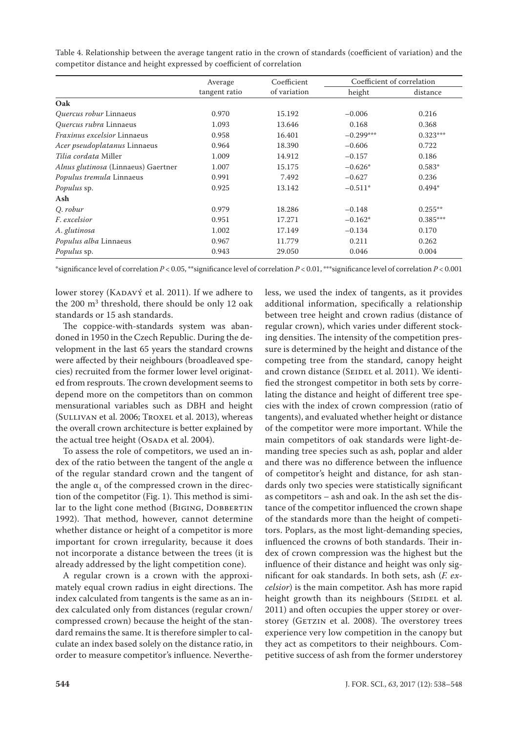|                                     | Average       | Coefficient  | Coefficient of correlation |            |  |
|-------------------------------------|---------------|--------------|----------------------------|------------|--|
|                                     | tangent ratio | of variation | height                     | distance   |  |
| Oak                                 |               |              |                            |            |  |
| <i>Ouercus robur</i> Linnaeus       | 0.970         | 15.192       | $-0.006$                   | 0.216      |  |
| Quercus rubra Linnaeus              | 1.093         | 13.646       | 0.168                      | 0.368      |  |
| <i>Fraxinus excelsior Linnaeus</i>  | 0.958         | 16.401       | $-0.299***$                | $0.323***$ |  |
| Acer pseudoplatanus Linnaeus        | 0.964         | 18.390       | $-0.606$                   | 0.722      |  |
| <i>Tilia cordata</i> Miller         | 1.009         | 14.912       | $-0.157$                   | 0.186      |  |
| Alnus glutinosa (Linnaeus) Gaertner | 1.007         | 15.175       | $-0.626*$                  | $0.583*$   |  |
| Populus tremula Linnaeus            | 0.991         | 7.492        | $-0.627$                   | 0.236      |  |
| Populus sp.                         | 0.925         | 13.142       | $-0.511*$                  | $0.494*$   |  |
| Ash                                 |               |              |                            |            |  |
| Q. robur                            | 0.979         | 18.286       | $-0.148$                   | $0.255**$  |  |
| <i>F.</i> excelsior                 | 0.951         | 17.271       | $-0.162*$                  | $0.385***$ |  |
| A. glutinosa                        | 1.002         | 17.149       | $-0.134$                   | 0.170      |  |
| Populus alba Linnaeus               | 0.967         | 11.779       | 0.211                      | 0.262      |  |
| Populus sp.                         | 0.943         | 29.050       | 0.046                      | 0.004      |  |

Table 4. Relationship between the average tangent ratio in the crown of standards (coefficient of variation) and the competitor distance and height expressed by coefficient of correlation

\*significance level of correlation *P* < 0.05, \*\*significance level of correlation *P* < 0.01, \*\*\*significance level of correlation *P* < 0.001

lower storey (KADAVÝ et al. 2011). If we adhere to the  $200 \text{ m}^3$  threshold, there should be only 12 oak standards or 15 ash standards.

The coppice-with-standards system was abandoned in 1950 in the Czech Republic. During the development in the last 65 years the standard crowns were affected by their neighbours (broadleaved species) recruited from the former lower level originated from resprouts. The crown development seems to depend more on the competitors than on common mensurational variables such as DBH and height (Sullivan et al. 2006; Troxel et al. 2013), whereas the overall crown architecture is better explained by the actual tree height (OSADA et al. 2004).

To assess the role of competitors, we used an index of the ratio between the tangent of the angle  $\alpha$ of the regular standard crown and the tangent of the angle  $\alpha_1$  of the compressed crown in the direction of the competitor (Fig. 1). This method is similar to the light cone method (BIGING, DOBBERTIN 1992). That method, however, cannot determine whether distance or height of a competitor is more important for crown irregularity, because it does not incorporate a distance between the trees (it is already addressed by the light competition cone).

A regular crown is a crown with the approximately equal crown radius in eight directions. The index calculated from tangents is the same as an index calculated only from distances (regular crown/ compressed crown) because the height of the standard remains the same. It is therefore simpler to calculate an index based solely on the distance ratio, in order to measure competitor's influence. Nevertheless, we used the index of tangents, as it provides additional information, specifically a relationship between tree height and crown radius (distance of regular crown), which varies under different stocking densities. The intensity of the competition pressure is determined by the height and distance of the competing tree from the standard, canopy height and crown distance (SEIDEL et al. 2011). We identified the strongest competitor in both sets by correlating the distance and height of different tree species with the index of crown compression (ratio of tangents), and evaluated whether height or distance of the competitor were more important. While the main competitors of oak standards were light-demanding tree species such as ash, poplar and alder and there was no difference between the influence of competitor's height and distance, for ash standards only two species were statistically significant as competitors – ash and oak. In the ash set the distance of the competitor influenced the crown shape of the standards more than the height of competitors. Poplars, as the most light-demanding species, influenced the crowns of both standards. Their index of crown compression was the highest but the influence of their distance and height was only significant for oak standards. In both sets, ash (*F. excelsior*) is the main competitor. Ash has more rapid height growth than its neighbours (SEIDEL et al. 2011) and often occupies the upper storey or overstorey (GETZIN et al. 2008). The overstorey trees experience very low competition in the canopy but they act as competitors to their neighbours. Competitive success of ash from the former understorey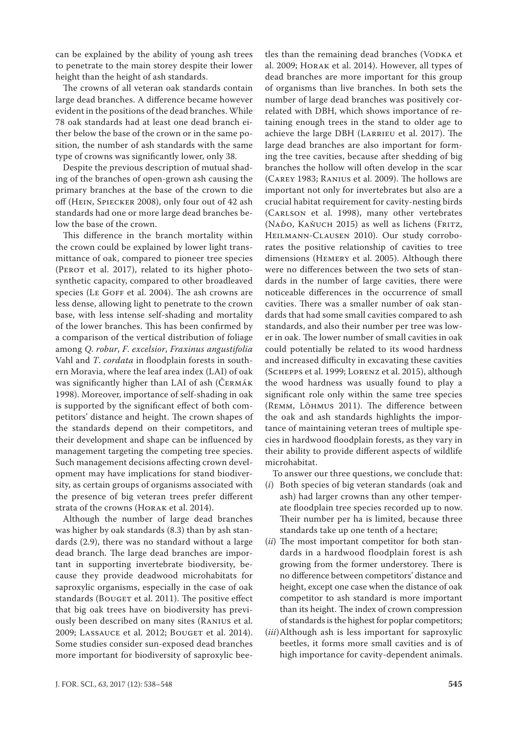can be explained by the ability of young ash trees to penetrate to the main storey despite their lower height than the height of ash standards.

The crowns of all veteran oak standards contain large dead branches. A difference became however evident in the positions of the dead branches. While 78 oak standards had at least one dead branch either below the base of the crown or in the same position, the number of ash standards with the same type of crowns was significantly lower, only 38.

Despite the previous description of mutual shading of the branches of open-grown ash causing the primary branches at the base of the crown to die off (Hein, Spiecker 2008), only four out of 42 ash standards had one or more large dead branches below the base of the crown.

This difference in the branch mortality within the crown could be explained by lower light transmittance of oak, compared to pioneer tree species (PEROT et al. 2017), related to its higher photosynthetic capacity, compared to other broadleaved species (Le Gorr et al. 2004). The ash crowns are less dense, allowing light to penetrate to the crown base, with less intense self-shading and mortality of the lower branches. This has been confirmed by a comparison of the vertical distribution of foliage among *Q*. *robur*, *F*. *excelsior*, *Fraxinus angustifolia*  Vahl and *T*. *cordata* in floodplain forests in southern Moravia, where the leaf area index (LAI) of oak was significantly higher than LAI of ash (CERMÁK 1998). Moreover, importance of self-shading in oak is supported by the significant effect of both competitors' distance and height. The crown shapes of the standards depend on their competitors, and their development and shape can be influenced by management targeting the competing tree species. Such management decisions affecting crown development may have implications for stand biodiversity, as certain groups of organisms associated with the presence of big veteran trees prefer different strata of the crowns (Horak et al. 2014).

Although the number of large dead branches was higher by oak standards (8.3) than by ash standards (2.9), there was no standard without a large dead branch. The large dead branches are important in supporting invertebrate biodiversity, because they provide deadwood microhabitats for saproxylic organisms, especially in the case of oak standards (BOUGET et al. 2011). The positive effect that big oak trees have on biodiversity has previously been described on many sites (Ranius et al. 2009; LASSAUCE et al. 2012; BOUGET et al. 2014). Some studies consider sun-exposed dead branches more important for biodiversity of saproxylic bee-

tles than the remaining dead branches (VODKA et al. 2009; Horak et al. 2014). However, all types of dead branches are more important for this group of organisms than live branches. In both sets the number of large dead branches was positively correlated with DBH, which shows importance of retaining enough trees in the stand to older age to achieve the large DBH (Larrieu et al. 2017). The large dead branches are also important for forming the tree cavities, because after shedding of big branches the hollow will often develop in the scar (Carey 1983; Ranius et al. 2009). The hollows are important not only for invertebrates but also are a crucial habitat requirement for cavity-nesting birds (Carlson et al. 1998), many other vertebrates (Naďo, Kaňuch 2015) as well as lichens (Fritz, Heilmann-Clausen 2010). Our study corroborates the positive relationship of cavities to tree dimensions (Hemery et al. 2005). Although there were no differences between the two sets of standards in the number of large cavities, there were noticeable differences in the occurrence of small cavities. There was a smaller number of oak standards that had some small cavities compared to ash standards, and also their number per tree was lower in oak. The lower number of small cavities in oak could potentially be related to its wood hardness and increased difficulty in excavating these cavities (Schepps et al. 1999; Lorenz et al. 2015), although the wood hardness was usually found to play a significant role only within the same tree species (Remm, Lõhmus 2011). The difference between the oak and ash standards highlights the importance of maintaining veteran trees of multiple species in hardwood floodplain forests, as they vary in their ability to provide different aspects of wildlife microhabitat.

To answer our three questions, we conclude that:

- (*i*) Both species of big veteran standards (oak and ash) had larger crowns than any other temperate floodplain tree species recorded up to now. Their number per ha is limited, because three standards take up one tenth of a hectare;
- (*ii*) The most important competitor for both standards in a hardwood floodplain forest is ash growing from the former understorey. There is no difference between competitors' distance and height, except one case when the distance of oak competitor to ash standard is more important than its height. The index of crown compression of standards is the highest for poplar competitors;
- (*iii*) Although ash is less important for saproxylic beetles, it forms more small cavities and is of high importance for cavity-dependent animals.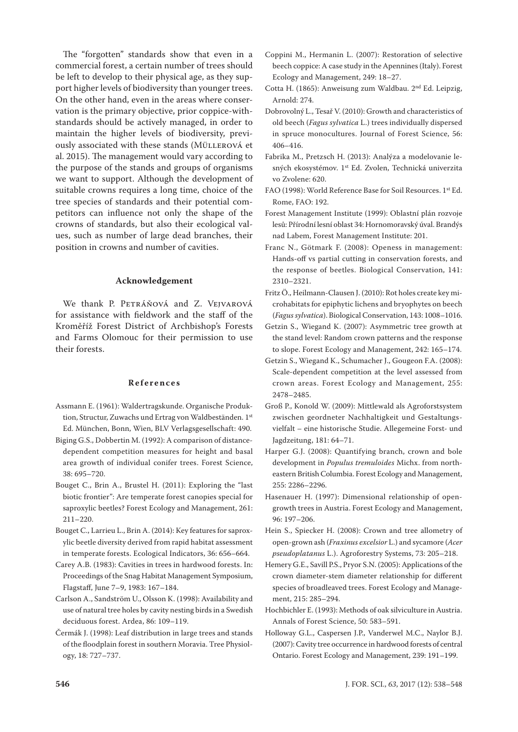The "forgotten" standards show that even in a commercial forest, a certain number of trees should be left to develop to their physical age, as they support higher levels of biodiversity than younger trees. On the other hand, even in the areas where conservation is the primary objective, prior coppice-withstandards should be actively managed, in order to maintain the higher levels of biodiversity, previously associated with these stands (Müllerová et al. 2015). The management would vary according to the purpose of the stands and groups of organisms we want to support. Although the development of suitable crowns requires a long time, choice of the tree species of standards and their potential competitors can influence not only the shape of the crowns of standards, but also their ecological values, such as number of large dead branches, their position in crowns and number of cavities.

#### **Acknowledgement**

We thank P. PETRÁŇOVÁ and Z. VEJVAROVÁ for assistance with fieldwork and the staff of the Kroměříž Forest District of Archbishop's Forests and Farms Olomouc for their permission to use their forests.

#### **References**

- Assmann E. (1961): Waldertragskunde. Organische Produktion, Structur, Zuwachs und Ertrag von Waldbeständen. 1st Ed. München, Bonn, Wien, BLV Verlagsgesellschaft: 490.
- Biging G.S., Dobbertin M. (1992): A comparison of distancedependent competition measures for height and basal area growth of individual conifer trees. Forest Science, 38: 695–720.
- Bouget C., Brin A., Brustel H. (2011): Exploring the "last biotic frontier": Are temperate forest canopies special for saproxylic beetles? Forest Ecology and Management, 261: 211–220.
- Bouget C., Larrieu L., Brin A. (2014): Key features for saproxylic beetle diversity derived from rapid habitat assessment in temperate forests. Ecological Indicators, 36: 656–664.
- Carey A.B. (1983): Cavities in trees in hardwood forests. In: Proceedings of the Snag Habitat Management Symposium, Flagstaff, June 7–9, 1983: 167–184.
- Carlson A., Sandström U., Olsson K. (1998): Availability and use of natural tree holes by cavity nesting birds in a Swedish deciduous forest. Ardea, 86: 109–119.
- Čermák J. (1998): Leaf distribution in large trees and stands of the floodplain forest in southern Moravia. Tree Physiology, 18: 727–737.
- Coppini M., Hermanin L. (2007): Restoration of selective beech coppice: A case study in the Apennines (Italy). Forest Ecology and Management, 249: 18–27.
- Cotta H. (1865): Anweisung zum Waldbau. 2nd Ed. Leipzig, Arnold: 274.
- Dobrovolný L., Tesař V. (2010): Growth and characteristics of old beech (*Fagus sylvatica* L.) trees individually dispersed in spruce monocultures. Journal of Forest Science, 56: 406–416.
- Fabrika M., Pretzsch H. (2013): Analýza a modelovanie lesných ekosystémov. 1st Ed. Zvolen, Technická univerzita vo Zvolene: 620.
- FAO (1998): World Reference Base for Soil Resources. 1st Ed. Rome, FAO: 192.
- Forest Management Institute (1999): Oblastní plán rozvoje lesů: Přírodní lesní oblast 34: Hornomoravský úval. Brandýs nad Labem, Forest Management Institute: 201.
- Franc N., Götmark F. (2008): Openess in management: Hands-off vs partial cutting in conservation forests, and the response of beetles. Biological Conservation, 141: 2310–2321.
- Fritz Ö., Heilmann-Clausen J. (2010): Rot holes create key microhabitats for epiphytic lichens and bryophytes on beech (*Fagus sylvatica*). Biological Conservation, 143: 1008–1016.
- Getzin S., Wiegand K. (2007): Asymmetric tree growth at the stand level: Random crown patterns and the response to slope. Forest Ecology and Management, 242: 165–174.
- Getzin S., Wiegand K., Schumacher J., Gougeon F.A. (2008): Scale-dependent competition at the level assessed from crown areas. Forest Ecology and Management, 255: 2478–2485.
- Groß P., Konold W. (2009): Mittlewald als Agroforstsystem zwischen geordneter Nachhaltigkeit und Gestaltungsvielfalt – eine historische Studie. Allegemeine Forst- und Jagdzeitung, 181: 64–71.
- Harper G.J. (2008): Quantifying branch, crown and bole development in *Populus tremuloides* Michx. from northeastern British Columbia. Forest Ecology and Management, 255: 2286–2296.
- Hasenauer H. (1997): Dimensional relationship of opengrowth trees in Austria. Forest Ecology and Management, 96: 197–206.
- Hein S., Spiecker H. (2008): Crown and tree allometry of open-grown ash (*Fraxinus excelsior* L.) and sycamore (*Acer pseudoplatanus* L.). Agroforestry Systems, 73: 205–218.
- Hemery G.E., Savill P.S., Pryor S.N. (2005): Applications of the crown diameter-stem diameter relationship for different species of broadleaved trees. Forest Ecology and Management, 215: 285–294.
- Hochbichler E. (1993): Methods of oak silviculture in Austria. Annals of Forest Science, 50: 583–591.
- Holloway G.L., Caspersen J.P., Vanderwel M.C., Naylor B.J. (2007): Cavity tree occurrence in hardwood forests of central Ontario. Forest Ecology and Management, 239: 191–199.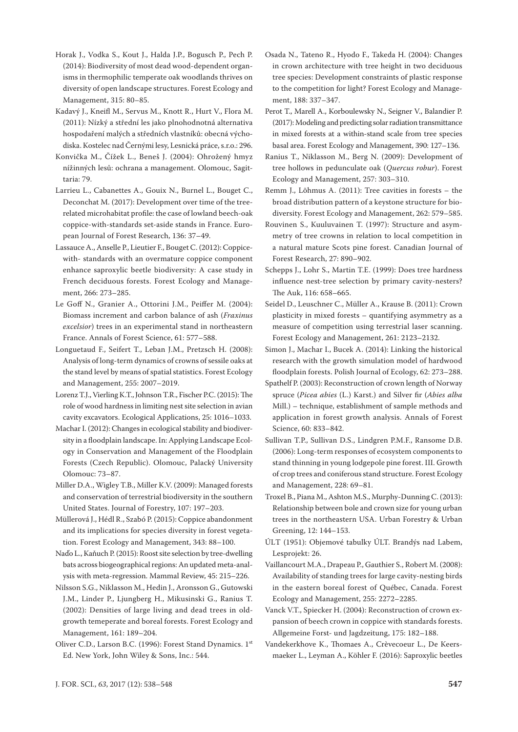- Horak J., Vodka S., Kout J., Halda J.P., Bogusch P., Pech P. (2014): Biodiversity of most dead wood-dependent organisms in thermophilic temperate oak woodlands thrives on diversity of open landscape structures. Forest Ecology and Management, 315: 80–85.
- Kadavý J., Kneifl M., Servus M., Knott R., Hurt V., Flora M. (2011): Nízký a střední les jako plnohodnotná alternativa hospodaření malých a středních vlastníků: obecná východiska. Kostelec nad Černými lesy, Lesnická práce, s.r.o.: 296.
- Konvička M., Čížek L., Beneš J. (2004): Ohrožený hmyz nížinných lesů: ochrana a management. Olomouc, Sagittaria: 79.
- Larrieu L., Cabanettes A., Gouix N., Burnel L., Bouget C., Deconchat M. (2017): Development over time of the treerelated microhabitat profile: the case of lowland beech-oak coppice-with-standards set-aside stands in France. European Journal of Forest Research, 136: 37–49.
- Lassauce A., Anselle P., Lieutier F., Bouget C. (2012): Coppicewith- standards with an overmature coppice component enhance saproxylic beetle biodiversity: A case study in French deciduous forests. Forest Ecology and Management, 266: 273–285.
- Le Goff N., Granier A., Ottorini J.M., Peiffer M. (2004): Biomass increment and carbon balance of ash (*Fraxinus excelsior*) trees in an experimental stand in northeastern France. Annals of Forest Science, 61: 577–588.
- Longuetaud F., Seifert T., Leban J.M., Pretzsch H. (2008): Analysis of long-term dynamics of crowns of sessile oaks at the stand level by means of spatial statistics. Forest Ecology and Management, 255: 2007–2019.
- Lorenz T.J., Vierling K.T., Johnson T.R., Fischer P.C. (2015): The role of wood hardness in limiting nest site selection in avian cavity excavators. Ecological Applications, 25: 1016–1033.
- Machar I. (2012): Changes in ecological stability and biodiversity in a floodplain landscape. In: Applying Landscape Ecology in Conservation and Management of the Floodplain Forests (Czech Republic). Olomouc, Palacký University Olomouc: 73–87.
- Miller D.A., Wigley T.B., Miller K.V. (2009): Managed forests and conservation of terrestrial biodiversity in the southern United States. Journal of Forestry, 107: 197–203.
- Müllerová J., Hédl R., Szabó P. (2015): Coppice abandonment and its implications for species diversity in forest vegetation. Forest Ecology and Management, 343: 88–100.
- Naďo L., Kaňuch P. (2015): Roost site selection by tree-dwelling bats across biogeographical regions: An updated meta-analysis with meta-regression. Mammal Review, 45: 215–226.
- Nilsson S.G., Niklasson M., Hedin J., Aronsson G., Gutowski J.M., Linder P., Ljungberg H., Mikusinski G., Ranius T. (2002): Densities of large living and dead trees in oldgrowth temeperate and boreal forests. Forest Ecology and Management, 161: 189–204.
- Oliver C.D., Larson B.C. (1996): Forest Stand Dynamics. 1st Ed. New York, John Wiley & Sons, Inc.: 544.
- Osada N., Tateno R., Hyodo F., Takeda H. (2004): Changes in crown architecture with tree height in two deciduous tree species: Development constraints of plastic response to the competition for light? Forest Ecology and Management, 188: 337–347.
- Perot T., Marell A., Korboulewsky N., Seigner V., Balandier P. (2017): Modeling and predicting solar radiation transmittance in mixed forests at a within-stand scale from tree species basal area. Forest Ecology and Management, 390: 127–136.
- Ranius T., Niklasson M., Berg N. (2009): Development of tree hollows in pedunculate oak (*Quercus robur*). Forest Ecology and Management, 257: 303–310.
- Remm J., Lõhmus A. (2011): Tree cavities in forests the broad distribution pattern of a keystone structure for biodiversity. Forest Ecology and Management, 262: 579–585.
- Rouvinen S., Kuuluvainen T. (1997): Structure and asymmetry of tree crowns in relation to local competition in a natural mature Scots pine forest. Canadian Journal of Forest Research, 27: 890–902.
- Schepps J., Lohr S., Martin T.E. (1999): Does tree hardness influence nest-tree selection by primary cavity-nesters? The Auk, 116: 658–665.
- Seidel D., Leuschner C., Müller A., Krause B. (2011): Crown plasticity in mixed forests – quantifying asymmetry as a measure of competition using terrestrial laser scanning. Forest Ecology and Management, 261: 2123–2132.
- Simon J., Machar I., Bucek A. (2014): Linking the historical research with the growth simulation model of hardwood floodplain forests. Polish Journal of Ecology, 62: 273–288.
- Spathelf P. (2003): Reconstruction of crown length of Norway spruce (*Picea abies* (L.) Karst.) and Silver fir (*Abies alba* Mill.) – technique, establishment of sample methods and application in forest growth analysis. Annals of Forest Science, 60: 833–842.
- Sullivan T.P., Sullivan D.S., Lindgren P.M.F., Ransome D.B. (2006): Long-term responses of ecosystem components to stand thinning in young lodgepole pine forest. III. Growth of crop trees and coniferous stand structure. Forest Ecology and Management, 228: 69–81.
- Troxel B., Piana M., Ashton M.S., Murphy-Dunning C. (2013): Relationship between bole and crown size for young urban trees in the northeastern USA. Urban Forestry & Urban Greening, 12: 144–153.
- ÚLT (1951): Objemové tabulky ÚLT. Brandýs nad Labem, Lesprojekt: 26.
- Vaillancourt M.A., Drapeau P., Gauthier S., Robert M. (2008): Availability of standing trees for large cavity-nesting birds in the eastern boreal forest of Québec, Canada. Forest Ecology and Management, 255: 2272–2285.
- Vanck V.T., Spiecker H. (2004): Reconstruction of crown expansion of beech crown in coppice with standards forests. Allgemeine Forst- und Jagdzeitung, 175: 182–188.
- Vandekerkhove K., Thomaes A., Crèvecoeur L., De Keersmaeker L., Leyman A., Köhler F. (2016): Saproxylic beetles